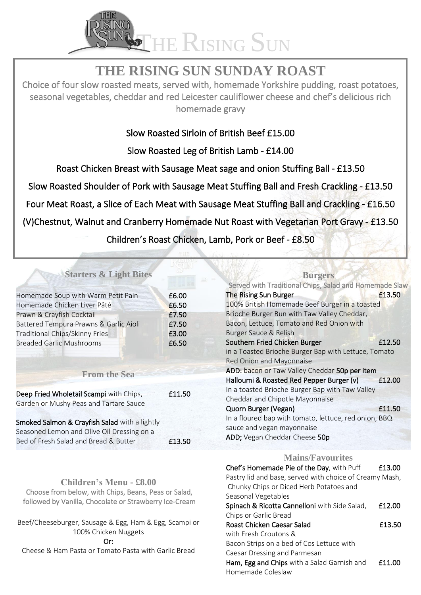

# **THE RISING SUN SUNDAY ROAST**

Choice of four slow roasted meats, served with, homemade Yorkshire pudding, roast potatoes, seasonal vegetables, cheddar and red Leicester cauliflower cheese and chef's delicious rich homemade gravy

# Slow Roasted Sirloin of British Beef £15.00

Slow Roasted Leg of British Lamb - £14.00

Roast Chicken Breast with Sausage Meat sage and onion Stuffing Ball - £13.50

Slow Roasted Shoulder of Pork with Sausage Meat Stuffing Ball and Fresh Crackling - £13.50

Four Meat Roast, a Slice of Each Meat with Sausage Meat Stuffing Ball and Crackling - £16.50

(V)Chestnut, Walnut and Cranberry Homemade Nut Roast with Vegetarian Port Gravy - £13.50

Children's Roast Chicken, Lamb, Pork or Beef - £8.50

## **Starters & Light Bites**

|                                                                                        |        | Served with Traditional Chips, Salad and Homemade Slaw  |        |
|----------------------------------------------------------------------------------------|--------|---------------------------------------------------------|--------|
| Homemade Soup with Warm Petit Pain                                                     | £6.00  | The Rising Sun Burger                                   | £13.50 |
| Homemade Chicken Liver Pâté                                                            | £6.50  | 100% British Homemade Beef Burger in a toasted          |        |
| Prawn & Crayfish Cocktail                                                              | £7.50  | Brioche Burger Bun with Taw Valley Cheddar,             |        |
| Battered Tempura Prawns & Garlic Aioli                                                 | £7.50  | Bacon, Lettuce, Tomato and Red Onion with               |        |
| Traditional Chips/Skinny Fries                                                         | £3.00  | Burger Sauce & Relish                                   |        |
| <b>Breaded Garlic Mushrooms</b>                                                        | £6.50  | Southern Fried Chicken Burger                           | £12.50 |
|                                                                                        |        | in a Toasted Brioche Burger Bap with Lettuce, Tomato    |        |
|                                                                                        |        | Red Onion and Mayonnaise                                |        |
| <b>From the Sea</b>                                                                    |        | ADD: bacon or Taw Valley Cheddar 50p per item           |        |
|                                                                                        |        | Halloumi & Roasted Red Pepper Burger (v)                | £12.00 |
| Deep Fried Wholetail Scampi with Chips,                                                | £11.50 | In a toasted Brioche Burger Bap with Taw Valley         |        |
|                                                                                        |        | Cheddar and Chipotle Mayonnaise                         |        |
| Garden or Mushy Peas and Tartare Sauce                                                 |        | Quorn Burger (Vegan)                                    | £11.50 |
| Smoked Salmon & Crayfish Salad with a lightly                                          |        | In a floured bap with tomato, lettuce, red onion, BBQ   |        |
| Seasoned Lemon and Olive Oil Dressing on a                                             |        | sauce and vegan mayonnaise                              |        |
| Bed of Fresh Salad and Bread & Butter                                                  | £13.50 | ADD; Vegan Cheddar Cheese 50p                           |        |
|                                                                                        |        |                                                         |        |
|                                                                                        |        | <b>Mains/Favourites</b>                                 |        |
| <b>Children's Menu - £8.00</b><br>Choose from below, with Chips, Beans, Peas or Salad, |        | Chef's Homemade Pie of the Day, with Puff               | £13.00 |
|                                                                                        |        | Pastry lid and base, served with choice of Creamy Mash, |        |
|                                                                                        |        | Chunky Chips or Diced Herb Potatoes and                 |        |
|                                                                                        |        | Seasonal Vegetables                                     |        |
| followed by Vanilla, Chocolate or Strawberry Ice-Cream                                 |        | Spinach & Ricotta Cannelloni with Side Salad,           | £12.00 |
|                                                                                        |        | Chips or Garlic Bread                                   |        |
| Beef/Cheeseburger, Sausage & Egg, Ham & Egg, Scampi or                                 |        | Roast Chicken Caesar Salad                              | £13.50 |
| 100% Chicken Nuggets                                                                   |        | with Fresh Croutons &                                   |        |
| Or:                                                                                    |        | Bacon Strips on a bed of Cos Lettuce with               |        |
| Cheese & Ham Pasta or Tomato Pasta with Garlic Bread                                   |        | Caesar Dressing and Parmesan                            |        |
|                                                                                        |        | $\blacksquare$                                          |        |

Ham, Egg and Chips with a Salad Garnish and E11.00 Homemade Coleslaw

**Burgers**